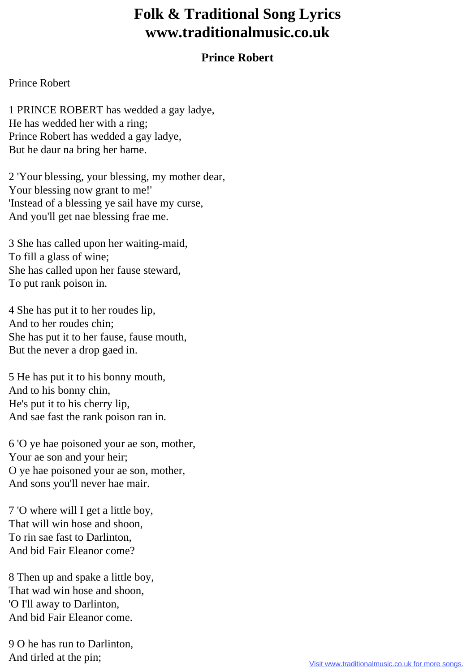## **Folk & Traditional Song Lyrics www.traditionalmusic.co.uk**

## **Prince Robert**

## Prince Robert

1 PRINCE ROBERT has wedded a gay ladye, He has wedded her with a ring; Prince Robert has wedded a gay ladye, But he daur na bring her hame.

2 'Your blessing, your blessing, my mother dear, Your blessing now grant to me!' 'Instead of a blessing ye sail have my curse, And you'll get nae blessing frae me.

3 She has called upon her waiting-maid, To fill a glass of wine; She has called upon her fause steward, To put rank poison in.

4 She has put it to her roudes lip, And to her roudes chin; She has put it to her fause, fause mouth, But the never a drop gaed in.

5 He has put it to his bonny mouth, And to his bonny chin, He's put it to his cherry lip, And sae fast the rank poison ran in.

6 'O ye hae poisoned your ae son, mother, Your ae son and your heir; O ye hae poisoned your ae son, mother, And sons you'll never hae mair.

7 'O where will I get a little boy, That will win hose and shoon, To rin sae fast to Darlinton, And bid Fair Eleanor come?

8 Then up and spake a little boy, That wad win hose and shoon, 'O I'll away to Darlinton, And bid Fair Eleanor come.

9 O he has run to Darlinton, And tirled at the pin;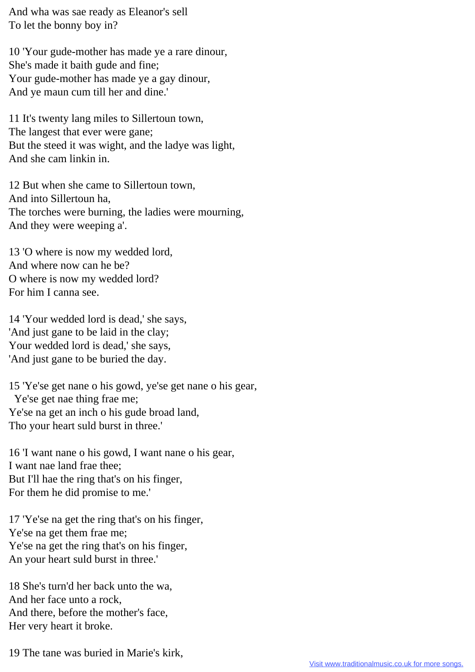And wha was sae ready as Eleanor's sell To let the bonny boy in?

10 'Your gude-mother has made ye a rare dinour, She's made it baith gude and fine; Your gude-mother has made ye a gay dinour, And ye maun cum till her and dine.'

11 It's twenty lang miles to Sillertoun town, The langest that ever were gane; But the steed it was wight, and the ladye was light, And she cam linkin in.

12 But when she came to Sillertoun town, And into Sillertoun ha, The torches were burning, the ladies were mourning, And they were weeping a'.

13 'O where is now my wedded lord, And where now can he be? O where is now my wedded lord? For him I canna see.

14 'Your wedded lord is dead,' she says, 'And just gane to be laid in the clay; Your wedded lord is dead,' she says, 'And just gane to be buried the day.

15 'Ye'se get nane o his gowd, ye'se get nane o his gear, Ye'se get nae thing frae me; Ye'se na get an inch o his gude broad land, Tho your heart suld burst in three.'

16 'I want nane o his gowd, I want nane o his gear, I want nae land frae thee; But I'll hae the ring that's on his finger, For them he did promise to me.'

17 'Ye'se na get the ring that's on his finger, Ye'se na get them frae me; Ye'se na get the ring that's on his finger, An your heart suld burst in three.'

18 She's turn'd her back unto the wa, And her face unto a rock, And there, before the mother's face, Her very heart it broke.

19 The tane was buried in Marie's kirk,